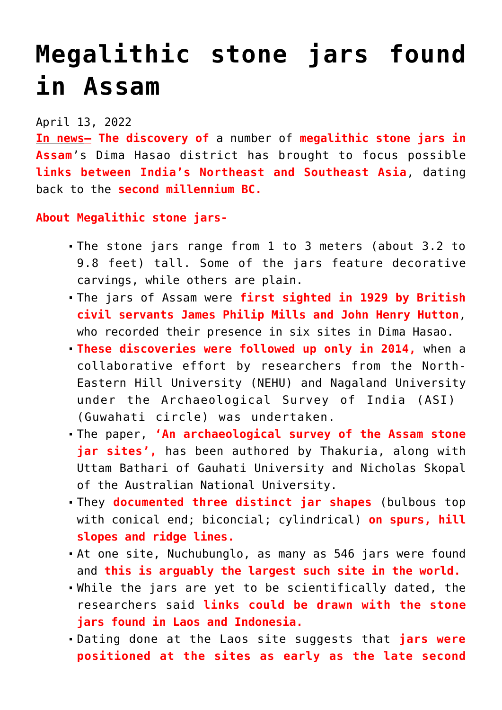## **[Megalithic stone jars found](https://journalsofindia.com/megalithic-stone-jars-found-in-assam/) [in Assam](https://journalsofindia.com/megalithic-stone-jars-found-in-assam/)**

## April 13, 2022

**In news– The discovery of** a number of **megalithic stone jars in Assam**'s Dima Hasao district has brought to focus possible **links between India's Northeast and Southeast Asia**, dating back to the **second millennium BC.** 

## **About Megalithic stone jars-**

- The stone jars range from 1 to 3 meters (about 3.2 to 9.8 feet) tall. Some of the jars feature decorative carvings, while others are plain.
- The jars of Assam were **first sighted in 1929 by British civil servants James Philip Mills and John Henry Hutton**, who recorded their presence in six sites in Dima Hasao.
- **These discoveries were followed up only in 2014,** when a collaborative effort by researchers from the North-Eastern Hill University (NEHU) and Nagaland University under the Archaeological Survey of India (ASI) (Guwahati circle) was undertaken.
- The paper, **'An archaeological survey of the Assam stone** jar sites', has been authored by Thakuria, along with Uttam Bathari of Gauhati University and Nicholas Skopal of the Australian National University.
- They **documented three distinct jar shapes** (bulbous top with conical end; biconcial; cylindrical) **on spurs, hill slopes and ridge lines.**
- At one site, Nuchubunglo, as many as 546 jars were found and **this is arguably the largest such site in the world.**
- While the jars are yet to be scientifically dated, the researchers said **links could be drawn with the stone jars found in Laos and Indonesia.**
- Dating done at the Laos site suggests that **jars were positioned at the sites as early as the late second**